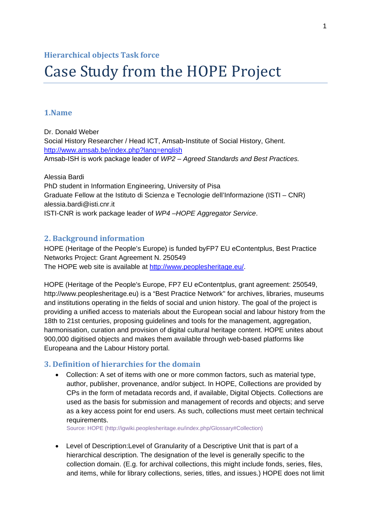#### **Hierarchical objects Task force**

# Case Study from the HOPE Project

#### **1.Name**

Dr. Donald Weber Social History Researcher / Head ICT, Amsab-Institute of Social History, Ghent. <http://www.amsab.be/index.php?lang=english> Amsab-ISH is work package leader of *WP2 – Agreed Standards and Best Practices.*

Alessia Bardi PhD student in Information Engineering, University of Pisa Graduate Fellow at the Istituto di Scienza e Tecnologie dell'Informazione (ISTI – CNR) alessia.bardi@isti.cnr.it ISTI-CNR is work package leader of *WP4 –HOPE Aggregator Service*.

#### **2. Background information**

HOPE (Heritage of the People's Europe) is funded byFP7 EU eContentplus, Best Practice Networks Project: Grant Agreement N. 250549 The HOPE web site is available at<http://www.peoplesheritage.eu/>.

HOPE (Heritage of the People's Europe, FP7 EU eContentplus, grant agreement: 250549, http://www.peoplesheritage.eu) is a "Best Practice Network'' for archives, libraries, museums and institutions operating in the fields of social and union history. The goal of the project is providing a unified access to materials about the European social and labour history from the 18th to 21st centuries, proposing guidelines and tools for the management, aggregation, harmonisation, curation and provision of digital cultural heritage content. HOPE unites about 900,000 digitised objects and makes them available through web-based platforms like Europeana and the Labour History portal.

## **3. Definition of hierarchies for the domain**

 Collection: A set of items with one or more common factors, such as material type, author, publisher, provenance, and/or subject. In HOPE, Collections are provided by CPs in the form of metadata records and, if available, Digital Objects. Collections are used as the basis for submission and management of records and objects; and serve as a key access point for end users. As such, collections must meet certain technical requirements.

Source: HOPE (http://igwiki.peoplesheritage.eu/index.php/Glossary#Collection)

 Level of Description:Level of Granularity of a Descriptive Unit that is part of a hierarchical description. The designation of the level is generally specific to the collection domain. (E.g. for archival collections, this might include fonds, series, files, and items, while for library collections, series, titles, and issues.) HOPE does not limit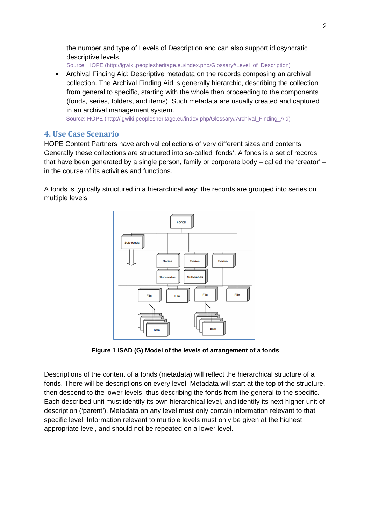the number and type of Levels of Description and can also support idiosyncratic descriptive levels.

Source: HOPE (http://igwiki.peoplesheritage.eu/index.php/Glossary#Level\_of\_Description)

 Archival Finding Aid: Descriptive metadata on the records composing an archival collection. The Archival Finding Aid is generally hierarchic, describing the collection from general to specific, starting with the whole then proceeding to the components (fonds, series, folders, and items). Such metadata are usually created and captured in an archival management system.

Source: HOPE (http://igwiki.peoplesheritage.eu/index.php/Glossary#Archival\_Finding\_Aid)

## **4. Use Case Scenario**

HOPE Content Partners have archival collections of very different sizes and contents. Generally these collections are structured into so-called 'fonds'. A fonds is a set of records that have been generated by a single person, family or corporate body – called the 'creator' – in the course of its activities and functions.

A fonds is typically structured in a hierarchical way: the records are grouped into series on multiple levels.



**Figure 1 ISAD (G) Model of the levels of arrangement of a fonds** 

Descriptions of the content of a fonds (metadata) will reflect the hierarchical structure of a fonds. There will be descriptions on every level. Metadata will start at the top of the structure, then descend to the lower levels, thus describing the fonds from the general to the specific. Each described unit must identify its own hierarchical level, and identify its next higher unit of description ('parent'). Metadata on any level must only contain information relevant to that specific level. Information relevant to multiple levels must only be given at the highest appropriate level, and should not be repeated on a lower level.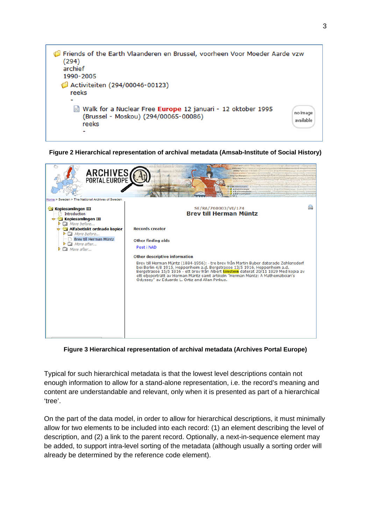

**Figure 2 Hierarchical representation of archival metadata (Amsab-Institute of Social History)** 



**Figure 3 Hierarchical representation of archival metadata (Archives Portal Europe)** 

Typical for such hierarchical metadata is that the lowest level descriptions contain not enough information to allow for a stand-alone representation, i.e. the record's meaning and content are understandable and relevant, only when it is presented as part of a hierarchical 'tree'.

On the part of the data model, in order to allow for hierarchical descriptions, it must minimally allow for two elements to be included into each record: (1) an element describing the level of description, and (2) a link to the parent record. Optionally, a next-in-sequence element may be added, to support intra-level sorting of the metadata (although usually a sorting order will already be determined by the reference code element).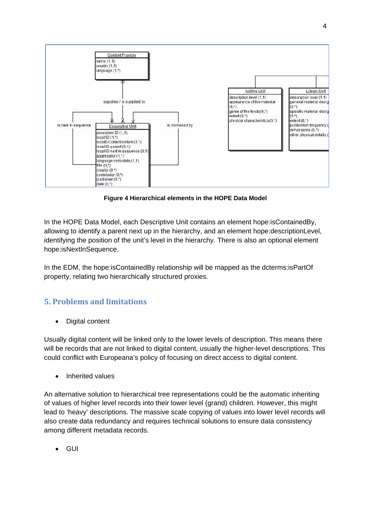

**Figure 4 Hierarchical elements in the HOPE Data Model** 

In the HOPE Data Model, each Descriptive Unit contains an element hope:isContainedBy, allowing to identify a parent next up in the hierarchy, and an element hope:descriptionLevel, identifying the position of the unit's level in the hierarchy. There is also an optional element hope:isNextInSequence.

In the EDM, the hope:isContainedBy relationship will be mapped as the dcterms:isPartOf property, relating two hierarchically structured proxies.

## **5. Problems and limitations**

Digital content

Usually digital content will be linked only to the lower levels of description. This means there will be records that are not linked to digital content, usually the higher-level descriptions. This could conflict with Europeana's policy of focusing on direct access to digital content.

• Inherited values

An alternative solution to hierarchical tree representations could be the automatic inheriting of values of higher level records into their lower level (grand) children. However, this might lead to 'heavy' descriptions. The massive scale copying of values into lower level records will also create data redundancy and requires technical solutions to ensure data consistency among different metadata records.

GUI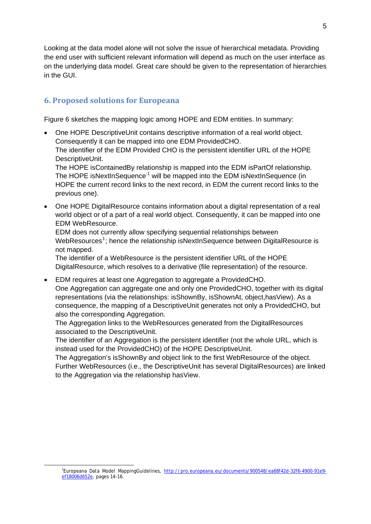Looking at the data model alone will not solve the issue of hierarchical metadata. Providing the end user with sufficient relevant information will depend as much on the user interface as on the underlying data model. Great care should be given to the representation of hierarchies in the GUI.

# **6. Proposed solutions for Europeana**

Figure 6 sketches the mapping logic among HOPE and EDM entities. In summary:

- One HOPE DescriptiveUnit contains descriptive information of a real world object. Consequently it can be mapped into one EDM ProvidedCHO. The identifier of the EDM Provided CHO is the persistent identifier URL of the HOPE DescriptiveUnit. The HOPE isContainedBy relationship is mapped into the EDM isPartOf relationship. The HOPE isNextInSequence<sup>-1</sup> will be mapped into the EDM isNextInSequence (in HOPE the current record links to the next record, in EDM the current record links to the previous one).
- One HOPE DigitalResource contains information about a digital representation of a real world object or of a part of a real world object. Consequently, it can be mapped into one EDM WebResource.

EDM does not currently allow specifying sequential relationships between WebResources<sup>[1](#page-4-0)</sup>; hence the relationship isNextInSequence between DigitalResource is not mapped.

The identifier of a WebResource is the persistent identifier URL of the HOPE DigitalResource, which resolves to a derivative (file representation) of the resource.

 EDM requires at least one Aggregation to aggregate a ProvidedCHO. One Aggregation can aggregate one and only one ProvidedCHO, together with its digital representations (via the relationships: isShownBy, isShownAt, object,hasView). As a consequence, the mapping of a DescriptiveUnit generates not only a ProvidedCHO, but also the corresponding Aggregation.

The Aggregation links to the WebResources generated from the DigitalResources associated to the DescriptiveUnit.

The identifier of an Aggregation is the persistent identifier (not the whole URL, which is instead used for the ProvidedCHO) of the HOPE DescriptiveUnit.

The Aggregation's isShownBy and object link to the first WebResource of the object. Further WebResources (i.e., the DescriptiveUnit has several DigitalResources) are linked to the Aggregation via the relationship hasView.

<span id="page-4-0"></span> $\frac{1}{1}$ <sup>1</sup>Europeana Data Model MappingGuidelines, [http://pro.europeana.eu/documents/900548/ea68f42d-32f6-4900-91e9](http://pro.europeana.eu/documents/900548/ea68f42d-32f6-4900-91e9-ef18006d652e) [ef18006d652e,](http://pro.europeana.eu/documents/900548/ea68f42d-32f6-4900-91e9-ef18006d652e) pages 14-16.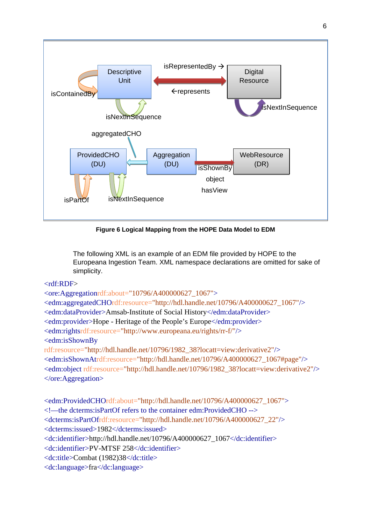

Figure 6 Logical Mapping from the HOPE Data Model to EDM

The following XML is an example of an EDM file provided by HOPE to the Europeana Ingestion Team. XML namespace declarations are omitted for sake of simplicity.

#### <rdf:RDF>

<ore:Aggregationrdf:about="10796/A400000627\_1067"> <edm:aggregatedCHOrdf:resource="http://hdl.handle.net/10796/A400000627\_1067"/> <edm:dataProvider>Amsab-Institute of Social History</edm:dataProvider> <edm:provider>Hope - Heritage of the People's Europe</edm:provider> <edm:rightsrdf:resource="http://www.europeana.eu/rights/rr-f/"/> <edm:isShownBy rdf:resource="http://hdl.handle.net/10796/1982\_38?locatt=view:derivative2"/> <edm:isShownAtrdf:resource="http://hdl.handle.net/10796/A400000627\_1067#page"/> <edm:object rdf:resource="http://hdl.handle.net/10796/1982\_38?locatt=view:derivative2"/> </ore:Aggregation>

<edm:ProvidedCHOrdf:about="http://hdl.handle.net/10796/A400000627\_1067"> <!—the dcterms:isPartOf refers to the container edm:ProvidedCHO --> <dcterms:isPartOfrdf:resource="http://hdl.handle.net/10796/A400000627\_22"/> <dcterms:issued>1982</dcterms:issued> <dc:identifier>http://hdl.handle.net/10796/A400000627\_1067</dc:identifier> <dc:identifier>PV-MTSF 258</dc:identifier> <dc:title>Combat (1982)38</dc:title> <dc:language>fra</dc:language>